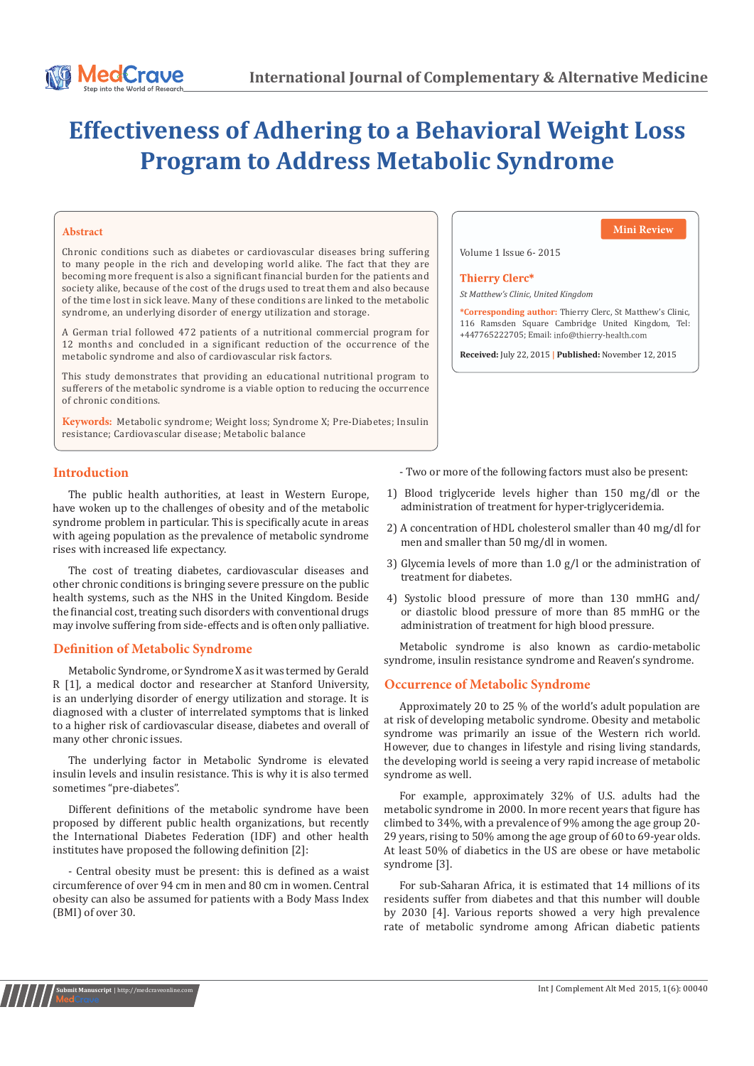# **Effectiveness of Adhering to a Behavioral Weight Loss Program to Address Metabolic Syndrome**

Chronic conditions such as diabetes or cardiovascular diseases bring suffering to many people in the rich and developing world alike. The fact that they are becoming more frequent is also a significant financial burden for the patients and society alike, because of the cost of the drugs used to treat them and also because of the time lost in sick leave. Many of these conditions are linked to the metabolic syndrome, an underlying disorder of energy utilization and storage.

A German trial followed 472 patients of a nutritional commercial program for 12 months and concluded in a significant reduction of the occurrence of the metabolic syndrome and also of cardiovascular risk factors.

This study demonstrates that providing an educational nutritional program to sufferers of the metabolic syndrome is a viable option to reducing the occurrence of chronic conditions.

**Keywords:** Metabolic syndrome; Weight loss; Syndrome X; Pre-Diabetes; Insulin resistance; Cardiovascular disease; Metabolic balance

**Abstract Mini Review**

Volume 1 Issue 6- 2015

#### **Thierry Clerc\***

*St Matthew's Clinic, United Kingdom*

**\*Corresponding author:** Thierry Clerc, St Matthew's Clinic, 116 Ramsden Square Cambridge United Kingdom, Tel: +447765222705; Email:

**Received:** July 22, 2015 **| Published:** November 12, 2015

# **Introduction**

The public health authorities, at least in Western Europe, have woken up to the challenges of obesity and of the metabolic syndrome problem in particular. This is specifically acute in areas with ageing population as the prevalence of metabolic syndrome rises with increased life expectancy.

The cost of treating diabetes, cardiovascular diseases and other chronic conditions is bringing severe pressure on the public health systems, such as the NHS in the United Kingdom. Beside the financial cost, treating such disorders with conventional drugs may involve suffering from side-effects and is often only palliative.

# **Definition of Metabolic Syndrome**

Metabolic Syndrome, or Syndrome X as it was termed by Gerald R [1], a medical doctor and researcher at Stanford University, is an underlying disorder of energy utilization and storage. It is diagnosed with a cluster of interrelated symptoms that is linked to a higher risk of cardiovascular disease, diabetes and overall of many other chronic issues.

The underlying factor in Metabolic Syndrome is elevated insulin levels and insulin resistance. This is why it is also termed sometimes "pre-diabetes".

Different definitions of the metabolic syndrome have been proposed by different public health organizations, but recently the International Diabetes Federation (IDF) and other health institutes have proposed the following definition [2]:

- Central obesity must be present: this is defined as a waist circumference of over 94 cm in men and 80 cm in women. Central obesity can also be assumed for patients with a Body Mass Index (BMI) of over 30.

- Two or more of the following factors must also be present:

- 1) Blood triglyceride levels higher than 150 mg/dl or the administration of treatment for hyper-triglyceridemia.
- 2) A concentration of HDL cholesterol smaller than 40 mg/dl for men and smaller than 50 mg/dl in women.
- 3) Glycemia levels of more than 1.0 g/l or the administration of treatment for diabetes.
- 4) Systolic blood pressure of more than 130 mmHG and/ or diastolic blood pressure of more than 85 mmHG or the administration of treatment for high blood pressure.

Metabolic syndrome is also known as cardio-metabolic syndrome, insulin resistance syndrome and Reaven's syndrome.

# **Occurrence of Metabolic Syndrome**

Approximately 20 to 25 % of the world's adult population are at risk of developing metabolic syndrome. Obesity and metabolic syndrome was primarily an issue of the Western rich world. However, due to changes in lifestyle and rising living standards, the developing world is seeing a very rapid increase of metabolic syndrome as well.

For example, approximately 32% of U.S. adults had the metabolic syndrome in 2000. In more recent years that figure has climbed to 34%, with a prevalence of 9% among the age group 20- 29 years, rising to 50% among the age group of 60 to 69-year olds. At least 50% of diabetics in the US are obese or have metabolic syndrome [3].

For sub-Saharan Africa, it is estimated that 14 millions of its residents suffer from diabetes and that this number will double by 2030 [4]. Various reports showed a very high prevalence rate of metabolic syndrome among African diabetic patients